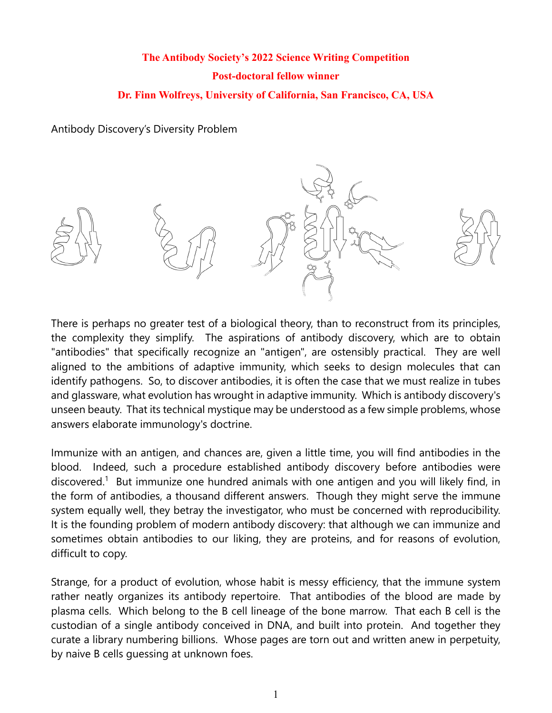# **The Antibody Society's 2022 Science Writing Competition Post-doctoral fellow winner Dr. Finn Wolfreys, University of California, San Francisco, CA, USA**

#### Antibody Discovery's Diversity Problem



There is perhaps no greater test of a biological theory, than to reconstruct from its principles, the complexity they simplify. The aspirations of antibody discovery, which are to obtain "antibodies" that specifically recognize an "antigen", are ostensibly practical. They are well aligned to the ambitions of adaptive immunity, which seeks to design molecules that can identify pathogens. So, to discover antibodies, it is often the case that we must realize in tubes and glassware, what evolution has wrought in adaptive immunity. Which is antibody discovery's unseen beauty. That its technical mystique may be understood as a few simple problems, whose answers elaborate immunology's doctrine.

Immunize with an antigen, and chances are, given a little time, you will find antibodies in the blood. Indeed, such a procedure established antibody discovery before antibodies were discovered.<sup>1</sup> But immunize one hundred animals with one antigen and you will likely find, in the form of antibodies, a thousand different answers. Though they might serve the immune system equally well, they betray the investigator, who must be concerned with reproducibility. It is the founding problem of modern antibody discovery: that although we can immunize and sometimes obtain antibodies to our liking, they are proteins, and for reasons of evolution, difficult to copy.

Strange, for a product of evolution, whose habit is messy efficiency, that the immune system rather neatly organizes its antibody repertoire. That antibodies of the blood are made by plasma cells. Which belong to the B cell lineage of the bone marrow. That each B cell is the custodian of a single antibody conceived in DNA, and built into protein. And together they curate a library numbering billions. Whose pages are torn out and written anew in perpetuity, by naive B cells guessing at unknown foes.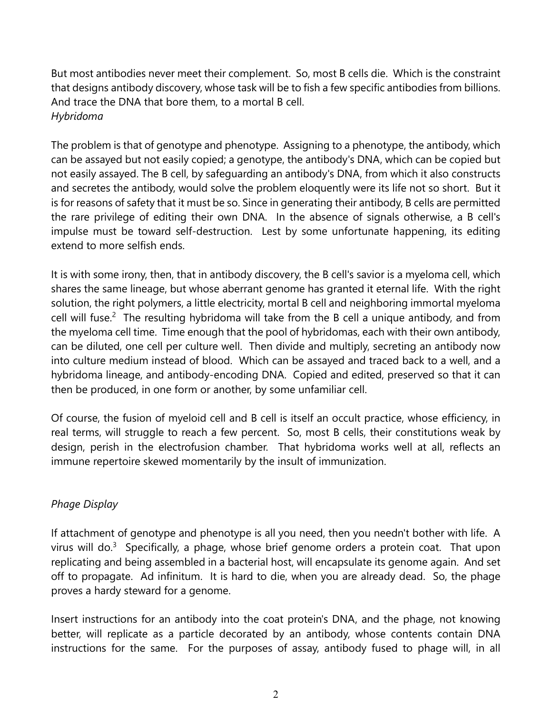But most antibodies never meet their complement. So, most B cells die. Which is the constraint that designs antibody discovery, whose task will be to fish a few specific antibodies from billions. And trace the DNA that bore them, to a mortal B cell. *Hybridoma*

The problem is that of genotype and phenotype. Assigning to a phenotype, the antibody, which can be assayed but not easily copied; a genotype, the antibody's DNA, which can be copied but not easily assayed. The B cell, by safeguarding an antibody's DNA, from which it also constructs and secretes the antibody, would solve the problem eloquently were its life not so short. But it is for reasons of safety that it must be so. Since in generating their antibody, B cells are permitted the rare privilege of editing their own DNA. In the absence of signals otherwise, a B cell's impulse must be toward self-destruction. Lest by some unfortunate happening, its editing extend to more selfish ends.

It is with some irony, then, that in antibody discovery, the B cell's savior is a myeloma cell, which shares the same lineage, but whose aberrant genome has granted it eternal life. With the right solution, the right polymers, a little electricity, mortal B cell and neighboring immortal myeloma cell will fuse.<sup>2</sup> The resulting hybridoma will take from the B cell a unique antibody, and from the myeloma cell time. Time enough that the pool of hybridomas, each with their own antibody, can be diluted, one cell per culture well. Then divide and multiply, secreting an antibody now into culture medium instead of blood. Which can be assayed and traced back to a well, and a hybridoma lineage, and antibody-encoding DNA. Copied and edited, preserved so that it can then be produced, in one form or another, by some unfamiliar cell.

Of course, the fusion of myeloid cell and B cell is itself an occult practice, whose efficiency, in real terms, will struggle to reach a few percent. So, most B cells, their constitutions weak by design, perish in the electrofusion chamber. That hybridoma works well at all, reflects an immune repertoire skewed momentarily by the insult of immunization.

## *Phage Display*

If attachment of genotype and phenotype is all you need, then you needn't bother with life. A virus will do.<sup>3</sup> Specifically, a phage, whose brief genome orders a protein coat. That upon replicating and being assembled in a bacterial host, will encapsulate its genome again. And set off to propagate. Ad infinitum. It is hard to die, when you are already dead. So, the phage proves a hardy steward for a genome.

Insert instructions for an antibody into the coat protein's DNA, and the phage, not knowing better, will replicate as a particle decorated by an antibody, whose contents contain DNA instructions for the same. For the purposes of assay, antibody fused to phage will, in all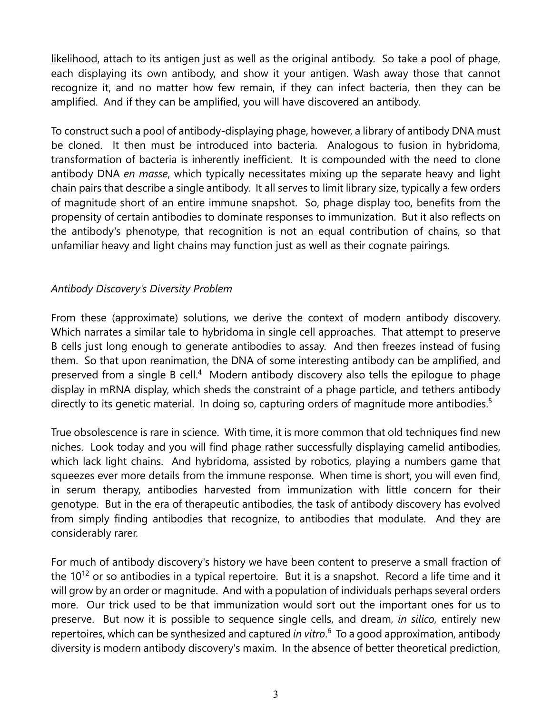likelihood, attach to its antigen just as well as the original antibody. So take a pool of phage, each displaying its own antibody, and show it your antigen. Wash away those that cannot recognize it, and no matter how few remain, if they can infect bacteria, then they can be amplified. And if they can be amplified, you will have discovered an antibody.

To construct such a pool of antibody-displaying phage, however, a library of antibody DNA must be cloned. It then must be introduced into bacteria. Analogous to fusion in hybridoma, transformation of bacteria is inherently inefficient. It is compounded with the need to clone antibody DNA *en masse*, which typically necessitates mixing up the separate heavy and light chain pairs that describe a single antibody. It all serves to limit library size, typically a few orders of magnitude short of an entire immune snapshot. So, phage display too, benefits from the propensity of certain antibodies to dominate responses to immunization. But it also reflects on the antibody's phenotype, that recognition is not an equal contribution of chains, so that unfamiliar heavy and light chains may function just as well as their cognate pairings.

#### *Antibody Discovery's Diversity Problem*

From these (approximate) solutions, we derive the context of modern antibody discovery. Which narrates a similar tale to hybridoma in single cell approaches. That attempt to preserve B cells just long enough to generate antibodies to assay. And then freezes instead of fusing them. So that upon reanimation, the DNA of some interesting antibody can be amplified, and preserved from a single B cell.<sup>4</sup> Modern antibody discovery also tells the epilogue to phage display in mRNA display, which sheds the constraint of a phage particle, and tethers antibody directly to its genetic material. In doing so, capturing orders of magnitude more antibodies.<sup>5</sup>

True obsolescence is rare in science. With time, it is more common that old techniques find new niches. Look today and you will find phage rather successfully displaying camelid antibodies, which lack light chains. And hybridoma, assisted by robotics, playing a numbers game that squeezes ever more details from the immune response. When time is short, you will even find, in serum therapy, antibodies harvested from immunization with little concern for their genotype. But in the era of therapeutic antibodies, the task of antibody discovery has evolved from simply finding antibodies that recognize, to antibodies that modulate. And they are considerably rarer.

For much of antibody discovery's history we have been content to preserve a small fraction of the  $10^{12}$  or so antibodies in a typical repertoire. But it is a snapshot. Record a life time and it will grow by an order or magnitude. And with a population of individuals perhaps several orders more. Our trick used to be that immunization would sort out the important ones for us to preserve. But now it is possible to sequence single cells, and dream, *in silico*, entirely new repertoires, which can be synthesized and captured *in vitro*. 6 To a good approximation, antibody diversity is modern antibody discovery's maxim. In the absence of better theoretical prediction,